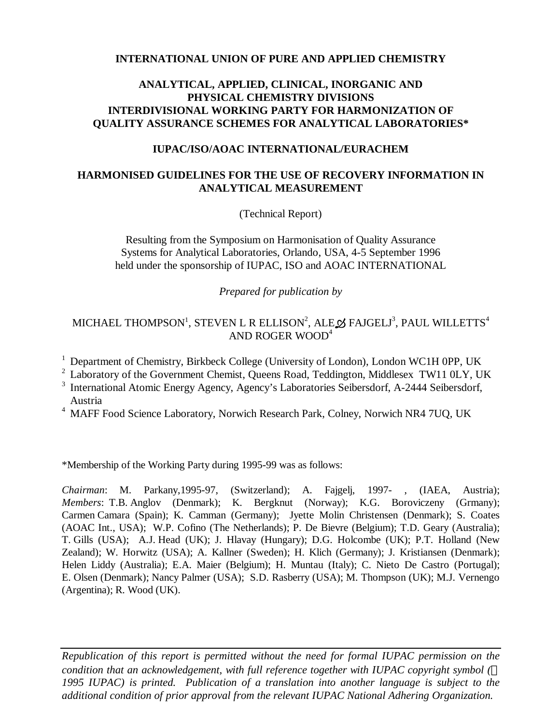#### **INTERNATIONAL UNION OF PURE AND APPLIED CHEMISTRY**

### **ANALYTICAL, APPLIED, CLINICAL, INORGANIC AND PHYSICAL CHEMISTRY DIVISIONS INTERDIVISIONAL WORKING PARTY FOR HARMONIZATION OF QUALITY ASSURANCE SCHEMES FOR ANALYTICAL LABORATORIES\***

#### **IUPAC/ISO/AOAC INTERNATIONAL/EURACHEM**

### **HARMONISED GUIDELINES FOR THE USE OF RECOVERY INFORMATION IN ANALYTICAL MEASUREMENT**

(Technical Report)

Resulting from the Symposium on Harmonisation of Quality Assurance Systems for Analytical Laboratories, Orlando, USA, 4-5 September 1996 held under the sponsorship of IUPAC, ISO and AOAC INTERNATIONAL

*Prepared for publication by*

### MICHAEL THOMPSON<sup>1</sup>, STEVEN L R ELLISON<sup>2</sup>, ALE $\cancel{\omega}$  FAJGELJ $^3$ , PAUL WILLETTS $^4$ AND ROGER WOOD<sup>4</sup>

- <sup>1</sup> Department of Chemistry, Birkbeck College (University of London), London WC1H 0PP, UK
- <sup>2</sup> Laboratory of the Government Chemist, Queens Road, Teddington, Middlesex TW11 0LY, UK
- <sup>3</sup> International Atomic Energy Agency, Agency's Laboratories Seibersdorf, A-2444 Seibersdorf, Austria
- <sup>4</sup> MAFF Food Science Laboratory, Norwich Research Park, Colney, Norwich NR4 7UQ, UK

\*Membership of the Working Party during 1995-99 was as follows:

*Chairman*: M. Parkany,1995-97, (Switzerland); A. Fajgelj, 1997- , (IAEA, Austria); *Members*: T.B. Anglov (Denmark); K. Bergknut (Norway); K.G. Boroviczeny (Grmany); Carmen Camara (Spain); K. Camman (Germany); Jyette Molin Christensen (Denmark); S. Coates (AOAC Int., USA); W.P. Cofino (The Netherlands); P. De Bievre (Belgium); T.D. Geary (Australia); T. Gills (USA); A.J. Head (UK); J. Hlavay (Hungary); D.G. Holcombe (UK); P.T. Holland (New Zealand); W. Horwitz (USA); A. Kallner (Sweden); H. Klich (Germany); J. Kristiansen (Denmark); Helen Liddy (Australia); E.A. Maier (Belgium); H. Muntau (Italy); C. Nieto De Castro (Portugal); E. Olsen (Denmark); Nancy Palmer (USA); S.D. Rasberry (USA); M. Thompson (UK); M.J. Vernengo (Argentina); R. Wood (UK).

*Republication of this report is permitted without the need for formal IUPAC permission on the condition that an acknowledgement, with full reference together with IUPAC copyright symbol (ã 1995 IUPAC) is printed. Publication of a translation into another language is subject to the additional condition of prior approval from the relevant IUPAC National Adhering Organization.*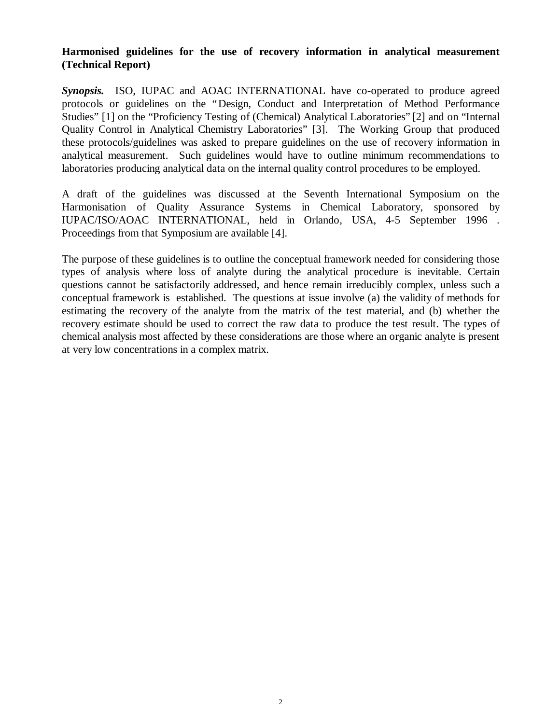#### **Harmonised guidelines for the use of recovery information in analytical measurement (Technical Report)**

*Synopsis.* ISO, IUPAC and AOAC INTERNATIONAL have co-operated to produce agreed protocols or guidelines on the "Design, Conduct and Interpretation of Method Performance Studies" [1] on the "Proficiency Testing of (Chemical) Analytical Laboratories"[2] and on "Internal Quality Control in Analytical Chemistry Laboratories" [3]. The Working Group that produced these protocols/guidelines was asked to prepare guidelines on the use of recovery information in analytical measurement. Such guidelines would have to outline minimum recommendations to laboratories producing analytical data on the internal quality control procedures to be employed.

A draft of the guidelines was discussed at the Seventh International Symposium on the Harmonisation of Quality Assurance Systems in Chemical Laboratory, sponsored by IUPAC/ISO/AOAC INTERNATIONAL, held in Orlando, USA, 4-5 September 1996 . Proceedings from that Symposium are available [4].

The purpose of these guidelines is to outline the conceptual framework needed for considering those types of analysis where loss of analyte during the analytical procedure is inevitable. Certain questions cannot be satisfactorily addressed, and hence remain irreducibly complex, unless such a conceptual framework is established. The questions at issue involve (a) the validity of methods for estimating the recovery of the analyte from the matrix of the test material, and (b) whether the recovery estimate should be used to correct the raw data to produce the test result. The types of chemical analysis most affected by these considerations are those where an organic analyte is present at very low concentrations in a complex matrix.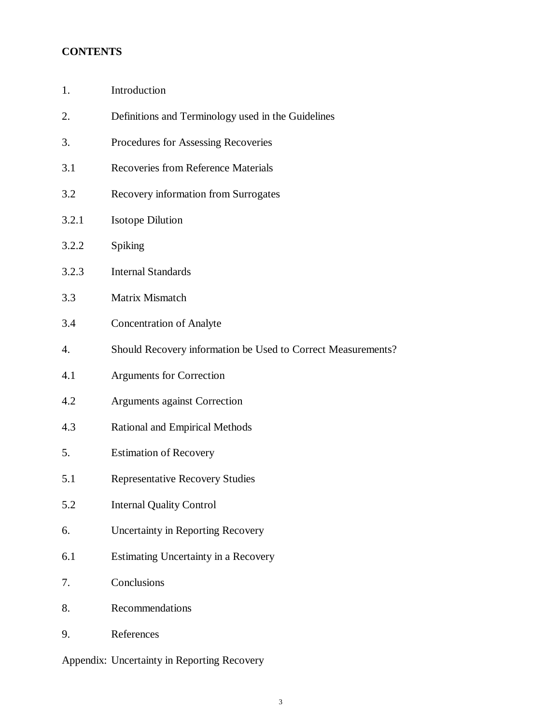# **CONTENTS**

1. Introduction

| 2.    | Definitions and Terminology used in the Guidelines           |
|-------|--------------------------------------------------------------|
| 3.    | Procedures for Assessing Recoveries                          |
| 3.1   | <b>Recoveries from Reference Materials</b>                   |
| 3.2   | Recovery information from Surrogates                         |
| 3.2.1 | <b>Isotope Dilution</b>                                      |
| 3.2.2 | Spiking                                                      |
| 3.2.3 | <b>Internal Standards</b>                                    |
| 3.3   | Matrix Mismatch                                              |
| 3.4   | <b>Concentration of Analyte</b>                              |
| 4.    | Should Recovery information be Used to Correct Measurements? |
| 4.1   | <b>Arguments for Correction</b>                              |
| 4.2   | Arguments against Correction                                 |
| 4.3   | <b>Rational and Empirical Methods</b>                        |
| 5.    | <b>Estimation of Recovery</b>                                |
| 5.1   | <b>Representative Recovery Studies</b>                       |
| 5.2   | <b>Internal Quality Control</b>                              |
| 6.    | <b>Uncertainty in Reporting Recovery</b>                     |
| 6.1   | Estimating Uncertainty in a Recovery                         |
| 7.    | Conclusions                                                  |
| 8.    | Recommendations                                              |
| 9.    | References                                                   |

Appendix: Uncertainty in Reporting Recovery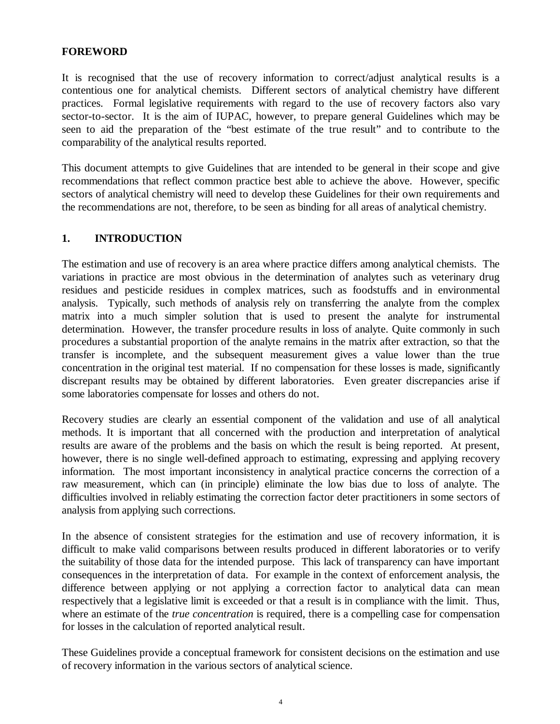#### **FOREWORD**

It is recognised that the use of recovery information to correct/adjust analytical results is a contentious one for analytical chemists. Different sectors of analytical chemistry have different practices. Formal legislative requirements with regard to the use of recovery factors also vary sector-to-sector. It is the aim of IUPAC, however, to prepare general Guidelines which may be seen to aid the preparation of the "best estimate of the true result" and to contribute to the comparability of the analytical results reported.

This document attempts to give Guidelines that are intended to be general in their scope and give recommendations that reflect common practice best able to achieve the above. However, specific sectors of analytical chemistry will need to develop these Guidelines for their own requirements and the recommendations are not, therefore, to be seen as binding for all areas of analytical chemistry.

### **1. INTRODUCTION**

The estimation and use of recovery is an area where practice differs among analytical chemists. The variations in practice are most obvious in the determination of analytes such as veterinary drug residues and pesticide residues in complex matrices, such as foodstuffs and in environmental analysis. Typically, such methods of analysis rely on transferring the analyte from the complex matrix into a much simpler solution that is used to present the analyte for instrumental determination. However, the transfer procedure results in loss of analyte. Quite commonly in such procedures a substantial proportion of the analyte remains in the matrix after extraction, so that the transfer is incomplete, and the subsequent measurement gives a value lower than the true concentration in the original test material. If no compensation for these losses is made, significantly discrepant results may be obtained by different laboratories. Even greater discrepancies arise if some laboratories compensate for losses and others do not.

Recovery studies are clearly an essential component of the validation and use of all analytical methods. It is important that all concerned with the production and interpretation of analytical results are aware of the problems and the basis on which the result is being reported. At present, however, there is no single well-defined approach to estimating, expressing and applying recovery information. The most important inconsistency in analytical practice concerns the correction of a raw measurement, which can (in principle) eliminate the low bias due to loss of analyte. The difficulties involved in reliably estimating the correction factor deter practitioners in some sectors of analysis from applying such corrections.

In the absence of consistent strategies for the estimation and use of recovery information, it is difficult to make valid comparisons between results produced in different laboratories or to verify the suitability of those data for the intended purpose. This lack of transparency can have important consequences in the interpretation of data. For example in the context of enforcement analysis, the difference between applying or not applying a correction factor to analytical data can mean respectively that a legislative limit is exceeded or that a result is in compliance with the limit. Thus, where an estimate of the *true concentration* is required, there is a compelling case for compensation for losses in the calculation of reported analytical result.

These Guidelines provide a conceptual framework for consistent decisions on the estimation and use of recovery information in the various sectors of analytical science.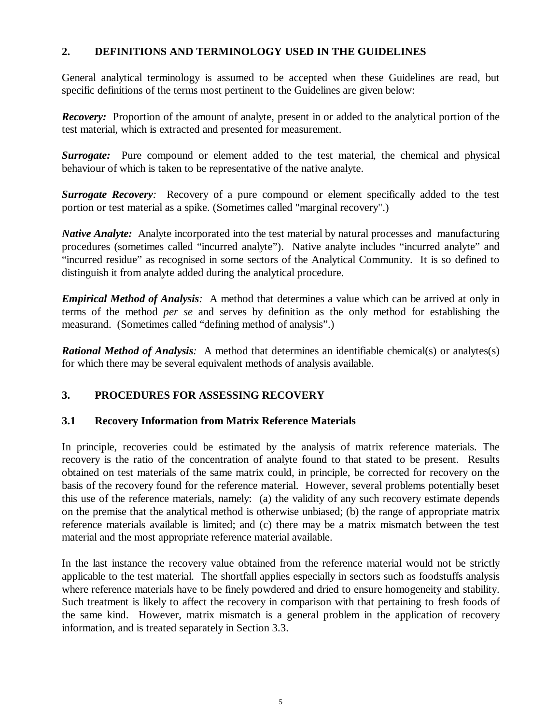#### **2. DEFINITIONS AND TERMINOLOGY USED IN THE GUIDELINES**

General analytical terminology is assumed to be accepted when these Guidelines are read, but specific definitions of the terms most pertinent to the Guidelines are given below:

*Recovery:* Proportion of the amount of analyte, present in or added to the analytical portion of the test material, which is extracted and presented for measurement.

*Surrogate:* Pure compound or element added to the test material, the chemical and physical behaviour of which is taken to be representative of the native analyte.

*Surrogate Recovery:* Recovery of a pure compound or element specifically added to the test portion or test material as a spike. (Sometimes called "marginal recovery".)

*Native Analyte:* Analyte incorporated into the test material by natural processes and manufacturing procedures (sometimes called "incurred analyte"). Native analyte includes "incurred analyte" and "incurred residue" as recognised in some sectors of the Analytical Community. It is so defined to distinguish it from analyte added during the analytical procedure.

*Empirical Method of Analysis:* A method that determines a value which can be arrived at only in terms of the method *per se* and serves by definition as the only method for establishing the measurand. (Sometimes called "defining method of analysis".)

*Rational Method of Analysis:* A method that determines an identifiable chemical(s) or analytes(s) for which there may be several equivalent methods of analysis available.

### **3. PROCEDURES FOR ASSESSING RECOVERY**

#### **3.1 Recovery Information from Matrix Reference Materials**

In principle, recoveries could be estimated by the analysis of matrix reference materials. The recovery is the ratio of the concentration of analyte found to that stated to be present. Results obtained on test materials of the same matrix could, in principle, be corrected for recovery on the basis of the recovery found for the reference material. However, several problems potentially beset this use of the reference materials, namely: (a) the validity of any such recovery estimate depends on the premise that the analytical method is otherwise unbiased; (b) the range of appropriate matrix reference materials available is limited; and (c) there may be a matrix mismatch between the test material and the most appropriate reference material available.

In the last instance the recovery value obtained from the reference material would not be strictly applicable to the test material. The shortfall applies especially in sectors such as foodstuffs analysis where reference materials have to be finely powdered and dried to ensure homogeneity and stability. Such treatment is likely to affect the recovery in comparison with that pertaining to fresh foods of the same kind. However, matrix mismatch is a general problem in the application of recovery information, and is treated separately in Section 3.3.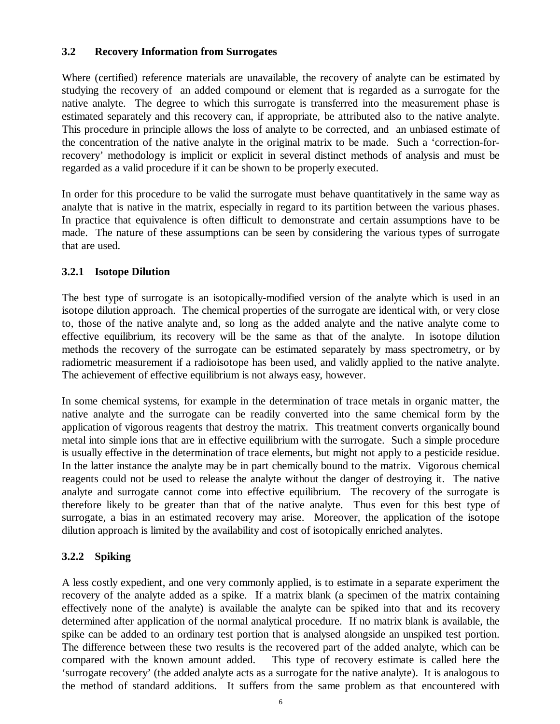#### **3.2 Recovery Information from Surrogates**

Where (certified) reference materials are unavailable, the recovery of analyte can be estimated by studying the recovery of an added compound or element that is regarded as a surrogate for the native analyte. The degree to which this surrogate is transferred into the measurement phase is estimated separately and this recovery can, if appropriate, be attributed also to the native analyte. This procedure in principle allows the loss of analyte to be corrected, and an unbiased estimate of the concentration of the native analyte in the original matrix to be made. Such a 'correction-forrecovery' methodology is implicit or explicit in several distinct methods of analysis and must be regarded as a valid procedure if it can be shown to be properly executed.

In order for this procedure to be valid the surrogate must behave quantitatively in the same way as analyte that is native in the matrix, especially in regard to its partition between the various phases. In practice that equivalence is often difficult to demonstrate and certain assumptions have to be made. The nature of these assumptions can be seen by considering the various types of surrogate that are used.

#### **3.2.1 Isotope Dilution**

The best type of surrogate is an isotopically-modified version of the analyte which is used in an isotope dilution approach. The chemical properties of the surrogate are identical with, or very close to, those of the native analyte and, so long as the added analyte and the native analyte come to effective equilibrium, its recovery will be the same as that of the analyte. In isotope dilution methods the recovery of the surrogate can be estimated separately by mass spectrometry, or by radiometric measurement if a radioisotope has been used, and validly applied to the native analyte. The achievement of effective equilibrium is not always easy, however.

In some chemical systems, for example in the determination of trace metals in organic matter, the native analyte and the surrogate can be readily converted into the same chemical form by the application of vigorous reagents that destroy the matrix. This treatment converts organically bound metal into simple ions that are in effective equilibrium with the surrogate. Such a simple procedure is usually effective in the determination of trace elements, but might not apply to a pesticide residue. In the latter instance the analyte may be in part chemically bound to the matrix. Vigorous chemical reagents could not be used to release the analyte without the danger of destroying it. The native analyte and surrogate cannot come into effective equilibrium. The recovery of the surrogate is therefore likely to be greater than that of the native analyte. Thus even for this best type of surrogate, a bias in an estimated recovery may arise. Moreover, the application of the isotope dilution approach is limited by the availability and cost of isotopically enriched analytes.

### **3.2.2 Spiking**

A less costly expedient, and one very commonly applied, is to estimate in a separate experiment the recovery of the analyte added as a spike. If a matrix blank (a specimen of the matrix containing effectively none of the analyte) is available the analyte can be spiked into that and its recovery determined after application of the normal analytical procedure. If no matrix blank is available, the spike can be added to an ordinary test portion that is analysed alongside an unspiked test portion. The difference between these two results is the recovered part of the added analyte, which can be compared with the known amount added. This type of recovery estimate is called here the 'surrogate recovery' (the added analyte acts as a surrogate for the native analyte). It is analogous to the method of standard additions. It suffers from the same problem as that encountered with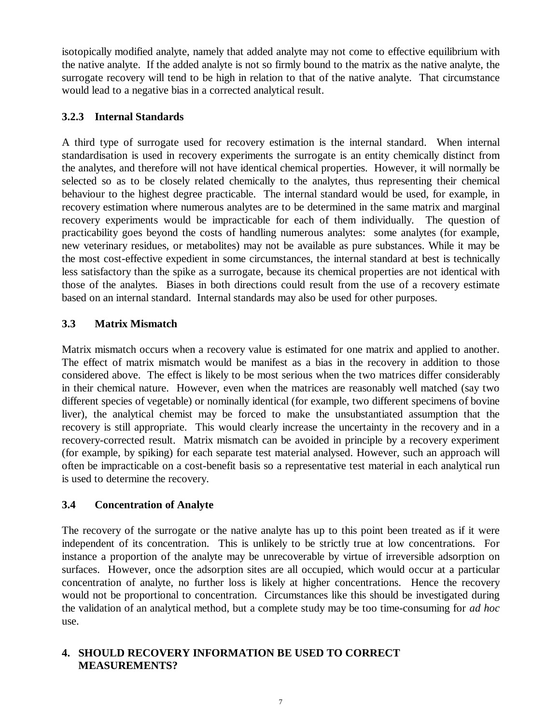isotopically modified analyte, namely that added analyte may not come to effective equilibrium with the native analyte. If the added analyte is not so firmly bound to the matrix as the native analyte, the surrogate recovery will tend to be high in relation to that of the native analyte. That circumstance would lead to a negative bias in a corrected analytical result.

### **3.2.3 Internal Standards**

A third type of surrogate used for recovery estimation is the internal standard. When internal standardisation is used in recovery experiments the surrogate is an entity chemically distinct from the analytes, and therefore will not have identical chemical properties. However, it will normally be selected so as to be closely related chemically to the analytes, thus representing their chemical behaviour to the highest degree practicable. The internal standard would be used, for example, in recovery estimation where numerous analytes are to be determined in the same matrix and marginal recovery experiments would be impracticable for each of them individually. The question of practicability goes beyond the costs of handling numerous analytes: some analytes (for example, new veterinary residues, or metabolites) may not be available as pure substances. While it may be the most cost-effective expedient in some circumstances, the internal standard at best is technically less satisfactory than the spike as a surrogate, because its chemical properties are not identical with those of the analytes. Biases in both directions could result from the use of a recovery estimate based on an internal standard. Internal standards may also be used for other purposes.

# **3.3 Matrix Mismatch**

Matrix mismatch occurs when a recovery value is estimated for one matrix and applied to another. The effect of matrix mismatch would be manifest as a bias in the recovery in addition to those considered above. The effect is likely to be most serious when the two matrices differ considerably in their chemical nature. However, even when the matrices are reasonably well matched (say two different species of vegetable) or nominally identical (for example, two different specimens of bovine liver), the analytical chemist may be forced to make the unsubstantiated assumption that the recovery is still appropriate. This would clearly increase the uncertainty in the recovery and in a recovery-corrected result. Matrix mismatch can be avoided in principle by a recovery experiment (for example, by spiking) for each separate test material analysed. However, such an approach will often be impracticable on a cost-benefit basis so a representative test material in each analytical run is used to determine the recovery.

# **3.4 Concentration of Analyte**

The recovery of the surrogate or the native analyte has up to this point been treated as if it were independent of its concentration. This is unlikely to be strictly true at low concentrations. For instance a proportion of the analyte may be unrecoverable by virtue of irreversible adsorption on surfaces. However, once the adsorption sites are all occupied, which would occur at a particular concentration of analyte, no further loss is likely at higher concentrations. Hence the recovery would not be proportional to concentration. Circumstances like this should be investigated during the validation of an analytical method, but a complete study may be too time-consuming for *ad hoc* use.

### **4. SHOULD RECOVERY INFORMATION BE USED TO CORRECT MEASUREMENTS?**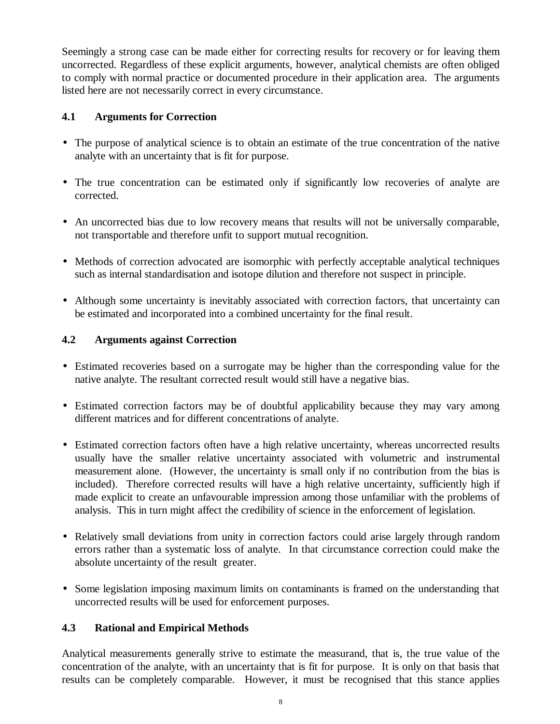Seemingly a strong case can be made either for correcting results for recovery or for leaving them uncorrected. Regardless of these explicit arguments, however, analytical chemists are often obliged to comply with normal practice or documented procedure in their application area. The arguments listed here are not necessarily correct in every circumstance.

### **4.1 Arguments for Correction**

- The purpose of analytical science is to obtain an estimate of the true concentration of the native analyte with an uncertainty that is fit for purpose.
- The true concentration can be estimated only if significantly low recoveries of analyte are corrected.
- An uncorrected bias due to low recovery means that results will not be universally comparable, not transportable and therefore unfit to support mutual recognition.
- Methods of correction advocated are isomorphic with perfectly acceptable analytical techniques such as internal standardisation and isotope dilution and therefore not suspect in principle.
- Although some uncertainty is inevitably associated with correction factors, that uncertainty can be estimated and incorporated into a combined uncertainty for the final result.

### **4.2 Arguments against Correction**

- Estimated recoveries based on a surrogate may be higher than the corresponding value for the native analyte. The resultant corrected result would still have a negative bias.
- Estimated correction factors may be of doubtful applicability because they may vary among different matrices and for different concentrations of analyte.
- Estimated correction factors often have a high relative uncertainty, whereas uncorrected results usually have the smaller relative uncertainty associated with volumetric and instrumental measurement alone. (However, the uncertainty is small only if no contribution from the bias is included). Therefore corrected results will have a high relative uncertainty, sufficiently high if made explicit to create an unfavourable impression among those unfamiliar with the problems of analysis. This in turn might affect the credibility of science in the enforcement of legislation.
- Relatively small deviations from unity in correction factors could arise largely through random errors rather than a systematic loss of analyte. In that circumstance correction could make the absolute uncertainty of the result greater.
- Some legislation imposing maximum limits on contaminants is framed on the understanding that uncorrected results will be used for enforcement purposes.

# **4.3 Rational and Empirical Methods**

Analytical measurements generally strive to estimate the measurand, that is, the true value of the concentration of the analyte, with an uncertainty that is fit for purpose. It is only on that basis that results can be completely comparable. However, it must be recognised that this stance applies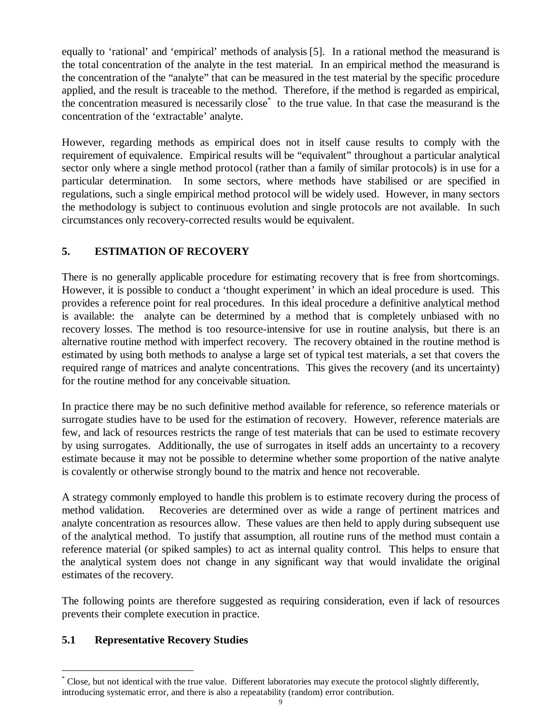equally to 'rational' and 'empirical' methods of analysis [5]. In a rational method the measurand is the total concentration of the analyte in the test material. In an empirical method the measurand is the concentration of the "analyte" that can be measured in the test material by the specific procedure applied, and the result is traceable to the method. Therefore, if the method is regarded as empirical, the concentration measured is necessarily close\* to the true value. In that case the measurand is the concentration of the 'extractable' analyte.

However, regarding methods as empirical does not in itself cause results to comply with the requirement of equivalence. Empirical results will be "equivalent" throughout a particular analytical sector only where a single method protocol (rather than a family of similar protocols) is in use for a particular determination. In some sectors, where methods have stabilised or are specified in regulations, such a single empirical method protocol will be widely used. However, in many sectors the methodology is subject to continuous evolution and single protocols are not available. In such circumstances only recovery-corrected results would be equivalent.

# **5. ESTIMATION OF RECOVERY**

There is no generally applicable procedure for estimating recovery that is free from shortcomings. However, it is possible to conduct a 'thought experiment' in which an ideal procedure is used. This provides a reference point for real procedures. In this ideal procedure a definitive analytical method is available: the analyte can be determined by a method that is completely unbiased with no recovery losses. The method is too resource-intensive for use in routine analysis, but there is an alternative routine method with imperfect recovery. The recovery obtained in the routine method is estimated by using both methods to analyse a large set of typical test materials, a set that covers the required range of matrices and analyte concentrations. This gives the recovery (and its uncertainty) for the routine method for any conceivable situation.

In practice there may be no such definitive method available for reference, so reference materials or surrogate studies have to be used for the estimation of recovery. However, reference materials are few, and lack of resources restricts the range of test materials that can be used to estimate recovery by using surrogates. Additionally, the use of surrogates in itself adds an uncertainty to a recovery estimate because it may not be possible to determine whether some proportion of the native analyte is covalently or otherwise strongly bound to the matrix and hence not recoverable.

A strategy commonly employed to handle this problem is to estimate recovery during the process of method validation. Recoveries are determined over as wide a range of pertinent matrices and analyte concentration as resources allow. These values are then held to apply during subsequent use of the analytical method. To justify that assumption, all routine runs of the method must contain a reference material (or spiked samples) to act as internal quality control. This helps to ensure that the analytical system does not change in any significant way that would invalidate the original estimates of the recovery.

The following points are therefore suggested as requiring consideration, even if lack of resources prevents their complete execution in practice.

# **5.1 Representative Recovery Studies**

<sup>\*</sup> Close, but not identical with the true value. Different laboratories may execute the protocol slightly differently, introducing systematic error, and there is also a repeatability (random) error contribution.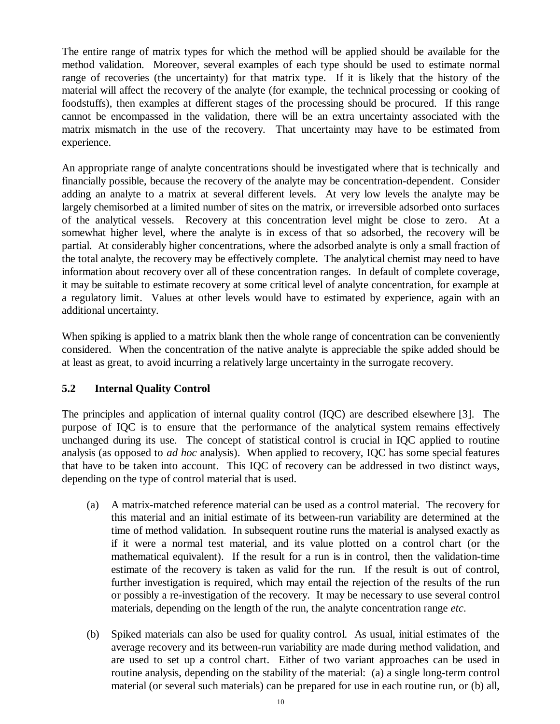The entire range of matrix types for which the method will be applied should be available for the method validation. Moreover, several examples of each type should be used to estimate normal range of recoveries (the uncertainty) for that matrix type. If it is likely that the history of the material will affect the recovery of the analyte (for example, the technical processing or cooking of foodstuffs), then examples at different stages of the processing should be procured. If this range cannot be encompassed in the validation, there will be an extra uncertainty associated with the matrix mismatch in the use of the recovery. That uncertainty may have to be estimated from experience.

An appropriate range of analyte concentrations should be investigated where that is technically and financially possible, because the recovery of the analyte may be concentration-dependent. Consider adding an analyte to a matrix at several different levels. At very low levels the analyte may be largely chemisorbed at a limited number of sites on the matrix, or irreversible adsorbed onto surfaces of the analytical vessels. Recovery at this concentration level might be close to zero. At a somewhat higher level, where the analyte is in excess of that so adsorbed, the recovery will be partial. At considerably higher concentrations, where the adsorbed analyte is only a small fraction of the total analyte, the recovery may be effectively complete. The analytical chemist may need to have information about recovery over all of these concentration ranges. In default of complete coverage, it may be suitable to estimate recovery at some critical level of analyte concentration, for example at a regulatory limit. Values at other levels would have to estimated by experience, again with an additional uncertainty.

When spiking is applied to a matrix blank then the whole range of concentration can be conveniently considered. When the concentration of the native analyte is appreciable the spike added should be at least as great, to avoid incurring a relatively large uncertainty in the surrogate recovery.

### **5.2 Internal Quality Control**

The principles and application of internal quality control (IQC) are described elsewhere [3]. The purpose of IQC is to ensure that the performance of the analytical system remains effectively unchanged during its use. The concept of statistical control is crucial in IQC applied to routine analysis (as opposed to *ad hoc* analysis). When applied to recovery, IQC has some special features that have to be taken into account. This IQC of recovery can be addressed in two distinct ways, depending on the type of control material that is used.

- (a) A matrix-matched reference material can be used as a control material. The recovery for this material and an initial estimate of its between-run variability are determined at the time of method validation. In subsequent routine runs the material is analysed exactly as if it were a normal test material, and its value plotted on a control chart (or the mathematical equivalent). If the result for a run is in control, then the validation-time estimate of the recovery is taken as valid for the run. If the result is out of control, further investigation is required, which may entail the rejection of the results of the run or possibly a re-investigation of the recovery. It may be necessary to use several control materials, depending on the length of the run, the analyte concentration range *etc*.
- (b) Spiked materials can also be used for quality control. As usual, initial estimates of the average recovery and its between-run variability are made during method validation, and are used to set up a control chart. Either of two variant approaches can be used in routine analysis, depending on the stability of the material: (a) a single long-term control material (or several such materials) can be prepared for use in each routine run, or (b) all,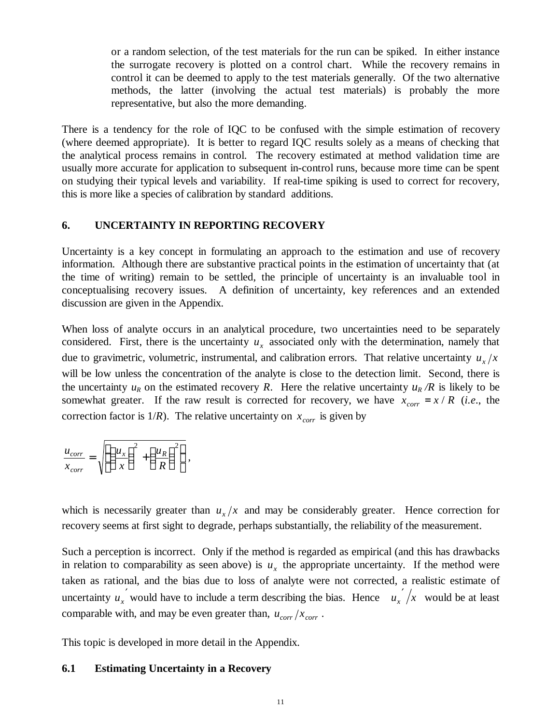or a random selection, of the test materials for the run can be spiked. In either instance the surrogate recovery is plotted on a control chart. While the recovery remains in control it can be deemed to apply to the test materials generally. Of the two alternative methods, the latter (involving the actual test materials) is probably the more representative, but also the more demanding.

There is a tendency for the role of IQC to be confused with the simple estimation of recovery (where deemed appropriate). It is better to regard IQC results solely as a means of checking that the analytical process remains in control. The recovery estimated at method validation time are usually more accurate for application to subsequent in-control runs, because more time can be spent on studying their typical levels and variability. If real-time spiking is used to correct for recovery, this is more like a species of calibration by standard additions.

#### **6. UNCERTAINTY IN REPORTING RECOVERY**

Uncertainty is a key concept in formulating an approach to the estimation and use of recovery information. Although there are substantive practical points in the estimation of uncertainty that (at the time of writing) remain to be settled, the principle of uncertainty is an invaluable tool in conceptualising recovery issues. A definition of uncertainty, key references and an extended discussion are given in the Appendix.

When loss of analyte occurs in an analytical procedure, two uncertainties need to be separately considered. First, there is the uncertainty  $u_x$  associated only with the determination, namely that due to gravimetric, volumetric, instrumental, and calibration errors. That relative uncertainty  $u_r/x$ will be low unless the concentration of the analyte is close to the detection limit. Second, there is the uncertainty  $u_R$  on the estimated recovery *R*. Here the relative uncertainty  $u_R/R$  is likely to be somewhat greater. If the raw result is corrected for recovery, we have  $x_{corr} = x / R$  (*i.e.*, the correction factor is  $1/R$ ). The relative uncertainty on  $x_{corr}$  is given by

$$
\frac{u_{corr}}{x_{corr}} = \sqrt{\left(\left(\frac{u_x}{x}\right)^2 + \left(\frac{u_R}{R}\right)^2\right)},
$$

which is necessarily greater than  $u_x/x$  and may be considerably greater. Hence correction for recovery seems at first sight to degrade, perhaps substantially, the reliability of the measurement.

Such a perception is incorrect. Only if the method is regarded as empirical (and this has drawbacks in relation to comparability as seen above) is  $u_x$  the appropriate uncertainty. If the method were taken as rational, and the bias due to loss of analyte were not corrected, a realistic estimate of uncertainty  $u_x$  would have to include a term describing the bias. Hence  $u_x$  /x would be at least comparable with, and may be even greater than,  $u_{corr}/x_{corr}$ .

This topic is developed in more detail in the Appendix.

#### **6.1 Estimating Uncertainty in a Recovery**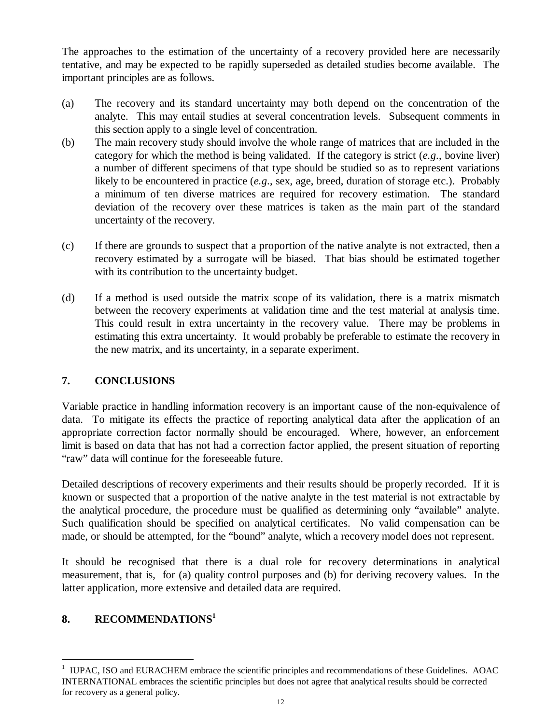The approaches to the estimation of the uncertainty of a recovery provided here are necessarily tentative, and may be expected to be rapidly superseded as detailed studies become available. The important principles are as follows.

- (a) The recovery and its standard uncertainty may both depend on the concentration of the analyte. This may entail studies at several concentration levels. Subsequent comments in this section apply to a single level of concentration.
- (b) The main recovery study should involve the whole range of matrices that are included in the category for which the method is being validated. If the category is strict (*e.g*., bovine liver) a number of different specimens of that type should be studied so as to represent variations likely to be encountered in practice (*e.g*., sex, age, breed, duration of storage etc.). Probably a minimum of ten diverse matrices are required for recovery estimation. The standard deviation of the recovery over these matrices is taken as the main part of the standard uncertainty of the recovery.
- (c) If there are grounds to suspect that a proportion of the native analyte is not extracted, then a recovery estimated by a surrogate will be biased. That bias should be estimated together with its contribution to the uncertainty budget.
- (d) If a method is used outside the matrix scope of its validation, there is a matrix mismatch between the recovery experiments at validation time and the test material at analysis time. This could result in extra uncertainty in the recovery value. There may be problems in estimating this extra uncertainty. It would probably be preferable to estimate the recovery in the new matrix, and its uncertainty, in a separate experiment.

# **7. CONCLUSIONS**

Variable practice in handling information recovery is an important cause of the non-equivalence of data. To mitigate its effects the practice of reporting analytical data after the application of an appropriate correction factor normally should be encouraged. Where, however, an enforcement limit is based on data that has not had a correction factor applied, the present situation of reporting "raw" data will continue for the foreseeable future.

Detailed descriptions of recovery experiments and their results should be properly recorded. If it is known or suspected that a proportion of the native analyte in the test material is not extractable by the analytical procedure, the procedure must be qualified as determining only "available" analyte. Such qualification should be specified on analytical certificates. No valid compensation can be made, or should be attempted, for the "bound" analyte, which a recovery model does not represent.

It should be recognised that there is a dual role for recovery determinations in analytical measurement, that is, for (a) quality control purposes and (b) for deriving recovery values. In the latter application, more extensive and detailed data are required.

# **8. RECOMMENDATIONS<sup>1</sup>**

<sup>&</sup>lt;sup>1</sup> IUPAC, ISO and EURACHEM embrace the scientific principles and recommendations of these Guidelines. AOAC INTERNATIONAL embraces the scientific principles but does not agree that analytical results should be corrected for recovery as a general policy.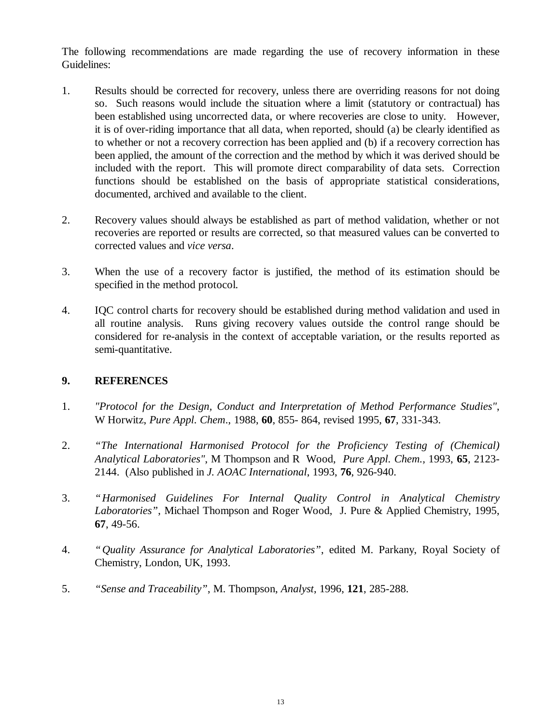The following recommendations are made regarding the use of recovery information in these Guidelines:

- 1. Results should be corrected for recovery, unless there are overriding reasons for not doing so. Such reasons would include the situation where a limit (statutory or contractual) has been established using uncorrected data, or where recoveries are close to unity. However, it is of over-riding importance that all data, when reported, should (a) be clearly identified as to whether or not a recovery correction has been applied and (b) if a recovery correction has been applied, the amount of the correction and the method by which it was derived should be included with the report. This will promote direct comparability of data sets. Correction functions should be established on the basis of appropriate statistical considerations, documented, archived and available to the client.
- 2. Recovery values should always be established as part of method validation, whether or not recoveries are reported or results are corrected, so that measured values can be converted to corrected values and *vice versa*.
- 3. When the use of a recovery factor is justified, the method of its estimation should be specified in the method protocol.
- 4. IQC control charts for recovery should be established during method validation and used in all routine analysis. Runs giving recovery values outside the control range should be considered for re-analysis in the context of acceptable variation, or the results reported as semi-quantitative.

### **9. REFERENCES**

- 1. *"Protocol for the Design, Conduct and Interpretation of Method Performance Studies"*, W Horwitz, *Pure Appl. Chem*., 1988, **60**, 855- 864, revised 1995, **67**, 331-343.
- 2. *"The International Harmonised Protocol for the Proficiency Testing of (Chemical) Analytical Laboratories"*, M Thompson and R Wood, *Pure Appl. Chem.,* 1993, **65**, 2123- 2144. (Also published in *J. AOAC International*, 1993, **76**, 926-940.
- 3. *"Harmonised Guidelines For Internal Quality Control in Analytical Chemistry Laboratories"*, Michael Thompson and Roger Wood, J. Pure & Applied Chemistry, 1995, **67**, 49-56.
- 4. *"Quality Assurance for Analytical Laboratories"*, edited M. Parkany, Royal Society of Chemistry, London, UK, 1993.
- 5. *"Sense and Traceability"*, M. Thompson, *Analyst*, 1996, **121**, 285-288.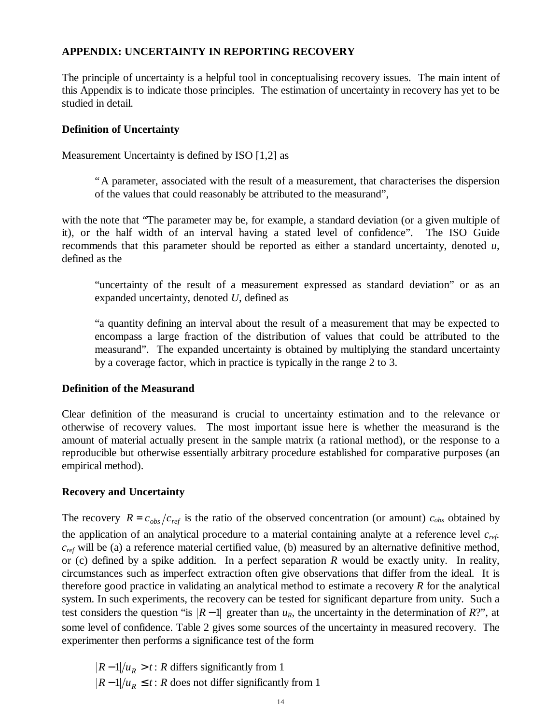#### **APPENDIX: UNCERTAINTY IN REPORTING RECOVERY**

The principle of uncertainty is a helpful tool in conceptualising recovery issues. The main intent of this Appendix is to indicate those principles. The estimation of uncertainty in recovery has yet to be studied in detail.

#### **Definition of Uncertainty**

Measurement Uncertainty is defined by ISO [1,2] as

"A parameter, associated with the result of a measurement, that characterises the dispersion of the values that could reasonably be attributed to the measurand",

with the note that "The parameter may be, for example, a standard deviation (or a given multiple of it), or the half width of an interval having a stated level of confidence". The ISO Guide recommends that this parameter should be reported as either a standard uncertainty, denoted *u*, defined as the

"uncertainty of the result of a measurement expressed as standard deviation" or as an expanded uncertainty, denoted *U*, defined as

"a quantity defining an interval about the result of a measurement that may be expected to encompass a large fraction of the distribution of values that could be attributed to the measurand". The expanded uncertainty is obtained by multiplying the standard uncertainty by a coverage factor, which in practice is typically in the range 2 to 3.

#### **Definition of the Measurand**

Clear definition of the measurand is crucial to uncertainty estimation and to the relevance or otherwise of recovery values. The most important issue here is whether the measurand is the amount of material actually present in the sample matrix (a rational method), or the response to a reproducible but otherwise essentially arbitrary procedure established for comparative purposes (an empirical method).

### **Recovery and Uncertainty**

The recovery  $R = c_{obs}/c_{ref}$  is the ratio of the observed concentration (or amount)  $c_{obs}$  obtained by

the application of an analytical procedure to a material containing analyte at a reference level *cref. cref* will be (a) a reference material certified value, (b) measured by an alternative definitive method, or (c) defined by a spike addition. In a perfect separation *R* would be exactly unity. In reality, circumstances such as imperfect extraction often give observations that differ from the ideal. It is therefore good practice in validating an analytical method to estimate a recovery *R* for the analytical system. In such experiments, the recovery can be tested for significant departure from unity. Such a test considers the question "is  $|R-1|$  greater than  $u_R$ , the uncertainty in the determination of  $R$ ?", at some level of confidence. Table 2 gives some sources of the uncertainty in measured recovery. The experimenter then performs a significance test of the form

 $R-1/u_R > t$ : *R* differs significantly from 1  $R-1/u_R \le t$ : *R* does not differ significantly from 1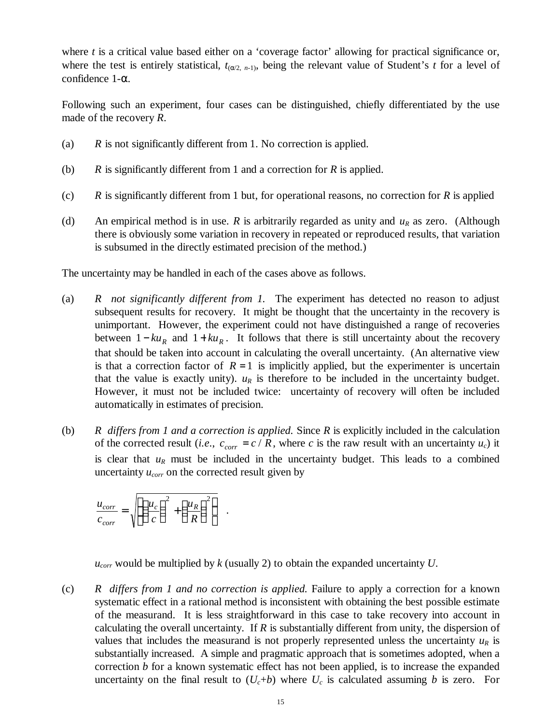where *t* is a critical value based either on a 'coverage factor' allowing for practical significance or, where the test is entirely statistical,  $t_{\alpha/2,n-1}$ , being the relevant value of Student's *t* for a level of confidence 1-α.

Following such an experiment, four cases can be distinguished, chiefly differentiated by the use made of the recovery *R*.

- (a) *R* is not significantly different from 1. No correction is applied.
- (b) *R*is significantly different from 1 and a correction for *R* is applied.
- (c) *R* is significantly different from 1 but, for operational reasons, no correction for *R* is applied
- (d) An empirical method is in use. *R* is arbitrarily regarded as unity and  $u_R$  as zero. (Although there is obviously some variation in recovery in repeated or reproduced results, that variation is subsumed in the directly estimated precision of the method.)

The uncertainty may be handled in each of the cases above as follows.

- (a) *R not significantly different from 1.* The experiment has detected no reason to adjust subsequent results for recovery. It might be thought that the uncertainty in the recovery is unimportant. However, the experiment could not have distinguished a range of recoveries between  $1 - ku_R$  and  $1 + ku_R$ . It follows that there is still uncertainty about the recovery that should be taken into account in calculating the overall uncertainty. (An alternative view is that a correction factor of  $R = 1$  is implicitly applied, but the experimenter is uncertain that the value is exactly unity).  $u_R$  is therefore to be included in the uncertainty budget. However, it must not be included twice: uncertainty of recovery will often be included automatically in estimates of precision.
- (b) *R differs from 1 and a correction is applied.* Since *R* is explicitly included in the calculation of the corrected result (*i.e.*,  $c_{corr} = c / R$ , where *c* is the raw result with an uncertainty  $u_c$ ) it is clear that  $u_R$  must be included in the uncertainty budget. This leads to a combined uncertainty *ucorr* on the corrected result given by

$$
\frac{u_{corr}}{c_{corr}} = \sqrt{\left(\left(\frac{u_c}{c}\right)^2 + \left(\frac{u_R}{R}\right)^2\right)}.
$$

 $u_{corr}$  would be multiplied by  $k$  (usually 2) to obtain the expanded uncertainty  $U$ .

(c) *R differs from 1 and no correction is applied.* Failure to apply a correction for a known systematic effect in a rational method is inconsistent with obtaining the best possible estimate of the measurand. It is less straightforward in this case to take recovery into account in calculating the overall uncertainty. If *R* is substantially different from unity, the dispersion of values that includes the measurand is not properly represented unless the uncertainty  $u_R$  is substantially increased. A simple and pragmatic approach that is sometimes adopted, when a correction *b* for a known systematic effect has not been applied, is to increase the expanded uncertainty on the final result to  $(U_c+b)$  where  $U_c$  is calculated assuming *b* is zero. For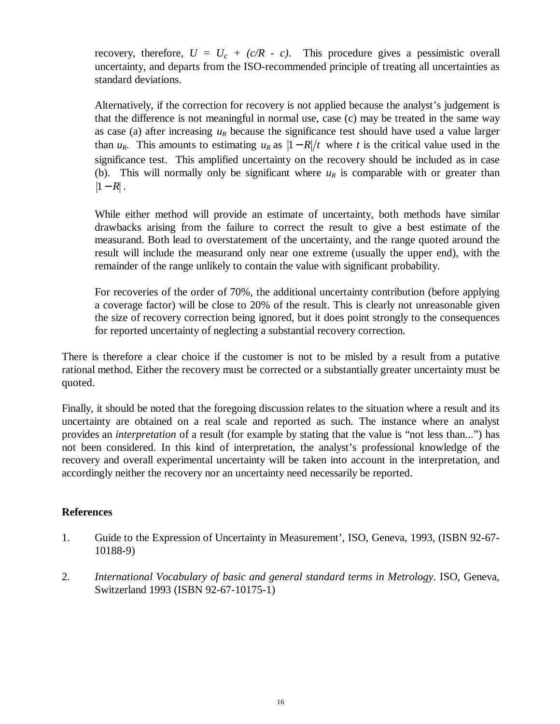recovery, therefore,  $U = U_c + (c/R - c)$ . This procedure gives a pessimistic overall uncertainty, and departs from the ISO-recommended principle of treating all uncertainties as standard deviations.

Alternatively, if the correction for recovery is not applied because the analyst's judgement is that the difference is not meaningful in normal use, case (c) may be treated in the same way as case (a) after increasing  $u_R$  because the significance test should have used a value larger than  $u_R$ . This amounts to estimating  $u_R$  as  $\left|1 - R\right|/t$  where *t* is the critical value used in the significance test. This amplified uncertainty on the recovery should be included as in case (b). This will normally only be significant where  $u_R$  is comparable with or greater than  $|1 - R|$ .

While either method will provide an estimate of uncertainty, both methods have similar drawbacks arising from the failure to correct the result to give a best estimate of the measurand. Both lead to overstatement of the uncertainty, and the range quoted around the result will include the measurand only near one extreme (usually the upper end), with the remainder of the range unlikely to contain the value with significant probability.

For recoveries of the order of 70%, the additional uncertainty contribution (before applying a coverage factor) will be close to 20% of the result. This is clearly not unreasonable given the size of recovery correction being ignored, but it does point strongly to the consequences for reported uncertainty of neglecting a substantial recovery correction.

There is therefore a clear choice if the customer is not to be misled by a result from a putative rational method. Either the recovery must be corrected or a substantially greater uncertainty must be quoted.

Finally, it should be noted that the foregoing discussion relates to the situation where a result and its uncertainty are obtained on a real scale and reported as such. The instance where an analyst provides an *interpretation* of a result (for example by stating that the value is "not less than...") has not been considered. In this kind of interpretation, the analyst's professional knowledge of the recovery and overall experimental uncertainty will be taken into account in the interpretation, and accordingly neither the recovery nor an uncertainty need necessarily be reported.

### **References**

- 1. Guide to the Expression of Uncertainty in Measurement', ISO, Geneva, 1993, (ISBN 92-67- 10188-9)
- 2. *International Vocabulary of basic and general standard terms in Metrology*. ISO, Geneva, Switzerland 1993 (ISBN 92-67-10175-1)